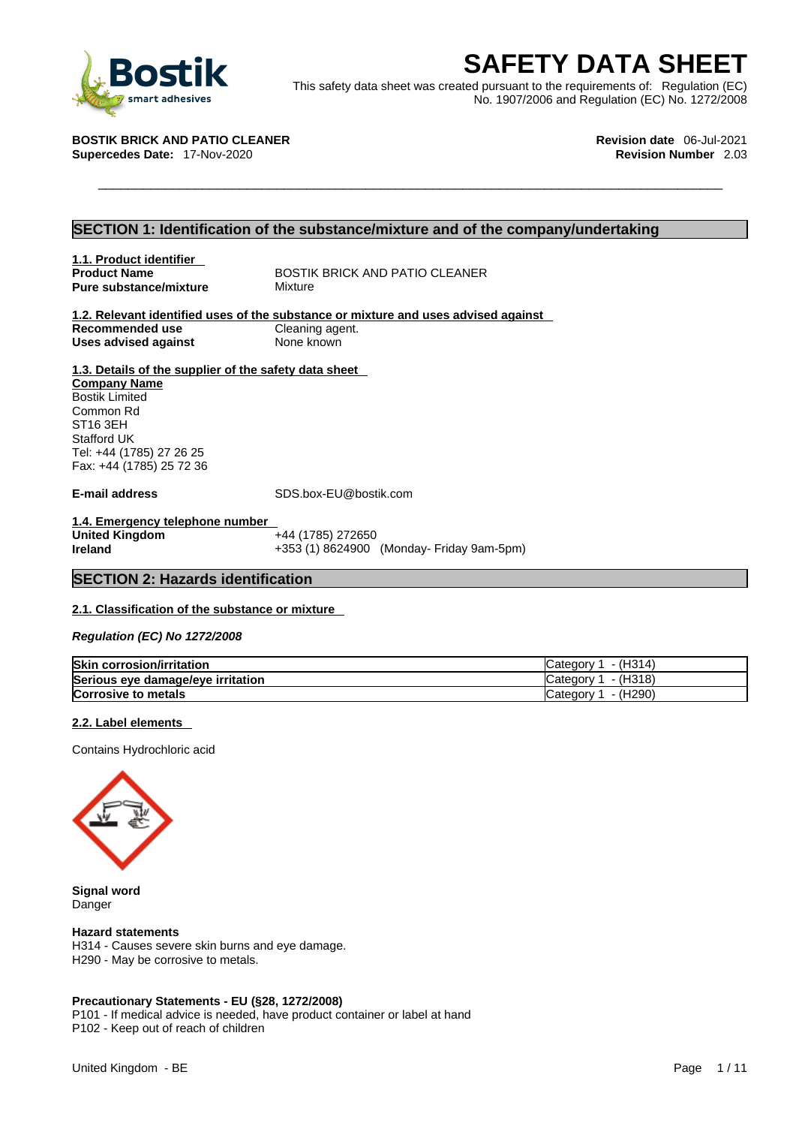

**BOSTIK**<br>
This safety data sheet was created pursuant to the requirements of: Regulation (EC)<br>
TIK BRICK AND PATIO CLEANER<br>
FICK AND PATIO CLEANER<br>
Procedes Date: 17-Nov-2020<br>
THE BRICK AND PATIO CLEANER<br>
Procedes Date: 17 This safety data sheet was created pursuant to the requirements of: Regulation (EC) No. 1907/2006 and Regulation (EC) No. 1272/2008

**Supercedes Date: 17-Nov-2020** 

**BOSTIK BRICK AND PATIO CLEANER Revision date** 06-Jul-2021

# **SECTION 1: Identification of the substance/mixture and of the company/undertaking**

# **1.1. Product identifier Pure substance/mixture**

**Product Name** BOSTIK BRICK AND PATIO CLEANER<br> **Pure substance/mixture** Mixture

#### **1.2. Relevant identified uses of the substance or mixture and uses advised against Recommended use Cleaning agent.**<br> **Uses advised against None known Uses advised against**

# **1.3. Details of the supplier of the safety data sheet**

**Company Name** Bostik Limited Common Rd ST16 3EH Stafford UK Tel: +44 (1785) 27 26 25 Fax: +44 (1785) 25 72 36

**E-mail address** SDS.box-EU@bostik.com

**1.4. Emergency telephone number United Kingdom** +44 (1785) 272650<br> **Ireland** +353 (1) 8624900 **Ireland** +353 (1) 8624900 (Monday- Friday 9am-5pm)

# **SECTION 2: Hazards identification**

# **2.1. Classification of the substance or mixture**

*Regulation (EC) No 1272/2008* 

| <b>Skin corrosion/irritation</b>  | - (H314)<br>″ ategoryٽ,               |
|-----------------------------------|---------------------------------------|
| Serious eye damage/eye irritation | $- (H318)$<br>n Category <sup>2</sup> |
| <b>Corrosive to metals</b>        | - (H290)<br>″ ategoryٽ,               |

## **2.2. Label elements**

Contains Hydrochloric acid



**Signal word** Danger

#### **Hazard statements**

H314 - Causes severe skin burns and eye damage. H290 - May be corrosive to metals.

## **Precautionary Statements - EU (§28, 1272/2008)**

P101 - If medical advice is needed, have product container or label at hand P102 - Keep out of reach of children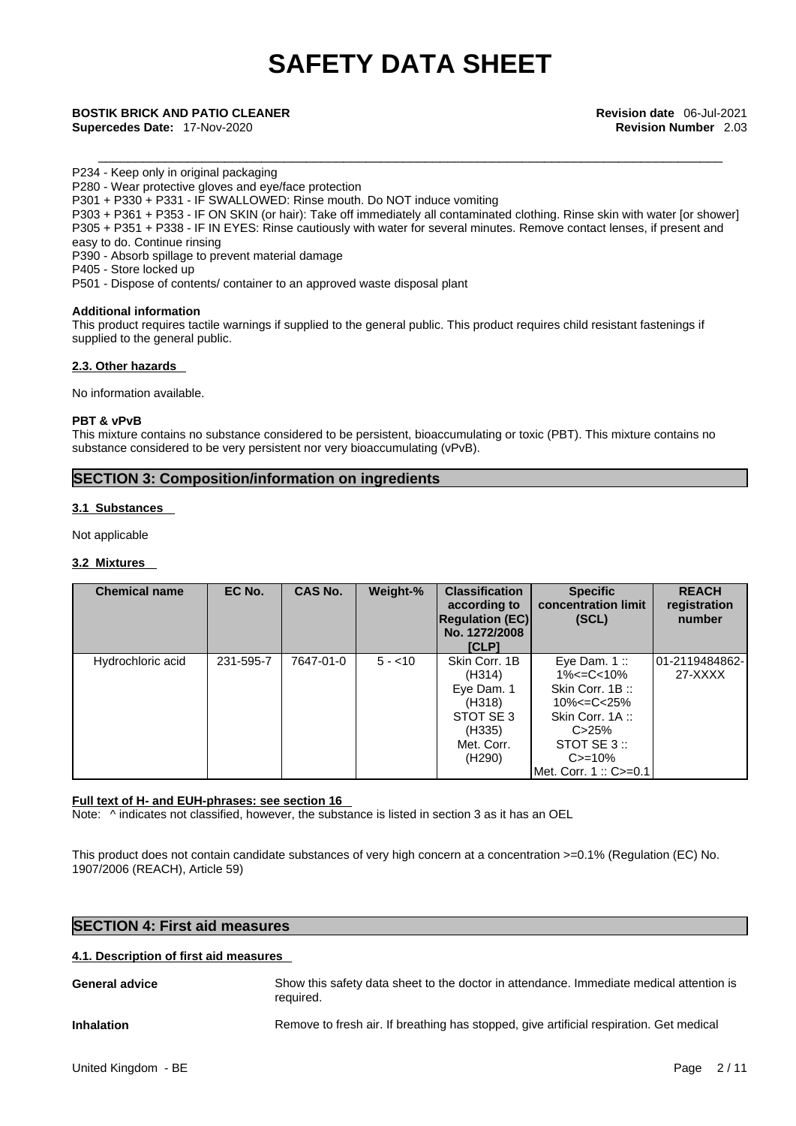\_\_\_\_\_\_\_\_\_\_\_\_\_\_\_\_\_\_\_\_\_\_\_\_\_\_\_\_\_\_\_\_\_\_\_\_\_\_\_\_\_\_\_\_\_\_\_\_\_\_\_\_\_\_\_\_\_\_\_\_\_\_\_\_\_\_\_\_\_\_\_\_\_\_\_\_\_\_\_\_\_\_\_\_ **BOSTIK BRICK AND PATIO CLEANER Revision date** 06-Jul-2021 **Supercedes Date:** 17-Nov-2020 **Revision Number** 2.03

P234 - Keep only in original packaging

P280 - Wear protective gloves and eye/face protection

P301 + P330 + P331 - IF SWALLOWED: Rinse mouth. Do NOT induce vomiting

P303 + P361 + P353 - IF ON SKIN (or hair): Take off immediately all contaminated clothing. Rinse skin with water [or shower] P305 + P351 + P338 - IF IN EYES: Rinse cautiously with water for several minutes. Remove contact lenses, if present and easy to do. Continue rinsing

P390 - Absorb spillage to prevent material damage

P405 - Store locked up

P501 - Dispose of contents/ container to an approved waste disposal plant

## **Additional information**

This product requires tactile warnings if supplied to the general public. This product requires child resistant fastenings if supplied to the general public.

## **2.3. Other hazards**

No information available.

### **PBT & vPvB**

This mixture contains no substance considered to be persistent, bioaccumulating or toxic (PBT). This mixture contains no substance considered to be very persistent nor very bioaccumulating (vPvB).

# **SECTION 3: Composition/information on ingredients**

## **3.1 Substances**

Not applicable

## **3.2 Mixtures**

| <b>Chemical name</b> | EC No.    | <b>CAS No.</b> | Weight-% | <b>Classification</b><br>according to<br><b>Regulation (EC)</b><br>No. 1272/2008<br><b>ICLPI</b>            | <b>Specific</b><br>concentration limit<br>(SCL)                                                                                                          | <b>REACH</b><br>registration<br>number |
|----------------------|-----------|----------------|----------|-------------------------------------------------------------------------------------------------------------|----------------------------------------------------------------------------------------------------------------------------------------------------------|----------------------------------------|
| Hydrochloric acid    | 231-595-7 | 7647-01-0      | $5 - 10$ | Skin Corr. 1B<br>(H314)<br>Eye Dam. 1<br>(H318)<br>STOT SE 3<br>(H335)<br>Met. Corr.<br>(H <sub>290</sub> ) | Eye Dam. $1::$<br>1%<=C<10%<br>Skin Corr. 1B:<br>$10\% < = C < 25\%$<br>Skin Corr. 1A:<br>C > 25%<br>STOT SE 3 ::<br>$C = 10%$<br>Met. Corr. 1 :: C>=0.1 | 01-2119484862-<br>27-XXXX              |

## **Full text of H- and EUH-phrases: see section 16**

Note:  $\wedge$  indicates not classified, however, the substance is listed in section 3 as it has an OEL

This product does not contain candidate substances of very high concern at a concentration >=0.1% (Regulation (EC) No. 1907/2006 (REACH), Article 59)

# **SECTION 4: First aid measures**

## **4.1. Description of first aid measures**

**General advice** Show this safety data sheet to the doctor in attendance. Immediate medical attention is required. **Inhalation** Remove to fresh air. If breathing has stopped, give artificial respiration. Get medical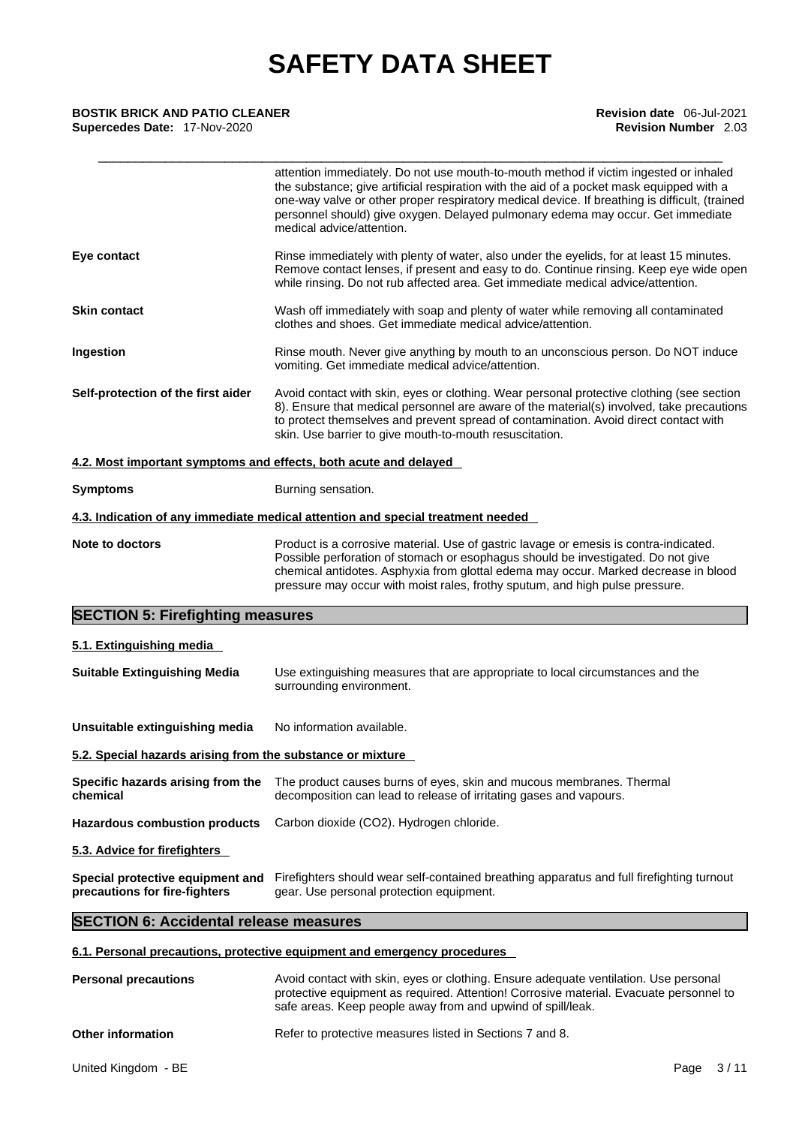| <b>BOSTIK BRICK AND PATIO CLEANER</b><br>Supercedes Date: 17-Nov-2020 | Revision date 06-Jul-2021<br><b>Revision Number</b> 2.03                                                                                                                                                                                                                                                                                                                                           |
|-----------------------------------------------------------------------|----------------------------------------------------------------------------------------------------------------------------------------------------------------------------------------------------------------------------------------------------------------------------------------------------------------------------------------------------------------------------------------------------|
|                                                                       | attention immediately. Do not use mouth-to-mouth method if victim ingested or inhaled<br>the substance; give artificial respiration with the aid of a pocket mask equipped with a<br>one-way valve or other proper respiratory medical device. If breathing is difficult, (trained<br>personnel should) give oxygen. Delayed pulmonary edema may occur. Get immediate<br>medical advice/attention. |
| Eye contact                                                           | Rinse immediately with plenty of water, also under the eyelids, for at least 15 minutes.<br>Remove contact lenses, if present and easy to do. Continue rinsing. Keep eye wide open<br>while rinsing. Do not rub affected area. Get immediate medical advice/attention.                                                                                                                             |
| Skin contact                                                          | Wash off immediately with soap and plenty of water while removing all contaminated<br>clothes and shoes. Get immediate medical advice/attention.                                                                                                                                                                                                                                                   |
| Ingestion                                                             | Rinse mouth. Never give anything by mouth to an unconscious person. Do NOT induce<br>vomiting. Get immediate medical advice/attention.                                                                                                                                                                                                                                                             |
| Self-protection of the first aider                                    | Avoid contact with skin, eyes or clothing. Wear personal protective clothing (see section<br>8). Ensure that medical personnel are aware of the material(s) involved, take precautions<br>to protect themselves and prevent spread of contamination. Avoid direct contact with<br>skin. Use barrier to give mouth-to-mouth resuscitation.                                                          |
| 4.2. Most important symptoms and effects, both acute and delayed      |                                                                                                                                                                                                                                                                                                                                                                                                    |
| Symptoms                                                              | Burning sensation.                                                                                                                                                                                                                                                                                                                                                                                 |
|                                                                       | 4.3. Indication of any immediate medical attention and special treatment needed                                                                                                                                                                                                                                                                                                                    |
| <b>Note to doctors</b>                                                | Product is a corrosive material. Use of gastric lavage or emesis is contra-indicated.<br>Possible perforation of stomach or esophagus should be investigated. Do not give<br>chemical antidotes. Asphyxia from glottal edema may occur. Marked decrease in blood<br>pressure may occur with moist rales, frothy sputum, and high pulse pressure.                                                   |
| <b>SECTION 5: Firefighting measures</b>                               |                                                                                                                                                                                                                                                                                                                                                                                                    |
| 5.1. Extinguishing media                                              |                                                                                                                                                                                                                                                                                                                                                                                                    |
| <b>Suitable Extinguishing Media</b>                                   | Use extinguishing measures that are appropriate to local circumstances and the<br>surrounding environment.                                                                                                                                                                                                                                                                                         |
| Unsuitable extinguishing media                                        | No information available.                                                                                                                                                                                                                                                                                                                                                                          |
| 5.2. Special hazards arising from the substance or mixture            |                                                                                                                                                                                                                                                                                                                                                                                                    |
| Specific hazards arising from the<br>chemical                         | The product causes burns of eyes, skin and mucous membranes. Thermal<br>decomposition can lead to release of irritating gases and vapours.                                                                                                                                                                                                                                                         |
| <b>Hazardous combustion products</b>                                  | Carbon dioxide (CO2). Hydrogen chloride.                                                                                                                                                                                                                                                                                                                                                           |
| 5.3. Advice for firefighters                                          |                                                                                                                                                                                                                                                                                                                                                                                                    |
|                                                                       | Special protective equipment and Firefighters should wear self-contained breathing apparatus and full firefighting turnout                                                                                                                                                                                                                                                                         |

# **SECTION 6: Accidental release measures**

# **6.1. Personal precautions, protective equipment and emergency procedures**

| <b>Personal precautions</b> | Avoid contact with skin, eyes or clothing. Ensure adequate ventilation. Use personal<br>protective equipment as required. Attention! Corrosive material. Evacuate personnel to<br>safe areas. Keep people away from and upwind of spill/leak. |
|-----------------------------|-----------------------------------------------------------------------------------------------------------------------------------------------------------------------------------------------------------------------------------------------|
| <b>Other information</b>    | Refer to protective measures listed in Sections 7 and 8.                                                                                                                                                                                      |

gear. Use personal protection equipment.

**precautions for fire-fighters**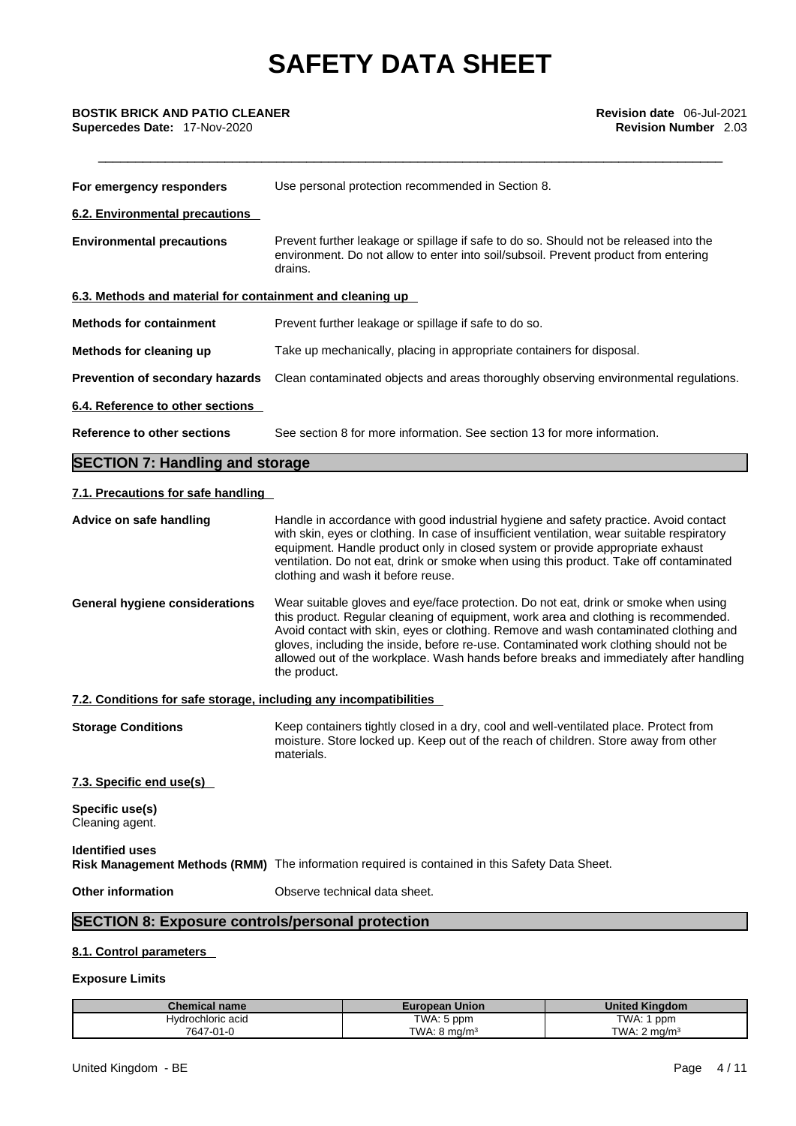\_\_\_\_\_\_\_\_\_\_\_\_\_\_\_\_\_\_\_\_\_\_\_\_\_\_\_\_\_\_\_\_\_\_\_\_\_\_\_\_\_\_\_\_\_\_\_\_\_\_\_\_\_\_\_\_\_\_\_\_\_\_\_\_\_\_\_\_\_\_\_\_\_\_\_\_\_\_\_\_\_\_\_\_ **BOSTIK BRICK AND PATIO CLEANER Revision date** 06-Jul-2021 **Supercedes Date:** 17-Nov-2020 **Revision Number** 2.03

| For emergency responders                                          | Use personal protection recommended in Section 8.                                                                                                                                                                                                                                                                                                                                                                                                                    |
|-------------------------------------------------------------------|----------------------------------------------------------------------------------------------------------------------------------------------------------------------------------------------------------------------------------------------------------------------------------------------------------------------------------------------------------------------------------------------------------------------------------------------------------------------|
| <b>6.2. Environmental precautions</b>                             |                                                                                                                                                                                                                                                                                                                                                                                                                                                                      |
| <b>Environmental precautions</b>                                  | Prevent further leakage or spillage if safe to do so. Should not be released into the<br>environment. Do not allow to enter into soil/subsoil. Prevent product from entering<br>drains.                                                                                                                                                                                                                                                                              |
| 6.3. Methods and material for containment and cleaning up         |                                                                                                                                                                                                                                                                                                                                                                                                                                                                      |
| <b>Methods for containment</b>                                    | Prevent further leakage or spillage if safe to do so.                                                                                                                                                                                                                                                                                                                                                                                                                |
| Methods for cleaning up                                           | Take up mechanically, placing in appropriate containers for disposal.                                                                                                                                                                                                                                                                                                                                                                                                |
| Prevention of secondary hazards                                   | Clean contaminated objects and areas thoroughly observing environmental regulations.                                                                                                                                                                                                                                                                                                                                                                                 |
| 6.4. Reference to other sections                                  |                                                                                                                                                                                                                                                                                                                                                                                                                                                                      |
| Reference to other sections                                       | See section 8 for more information. See section 13 for more information.                                                                                                                                                                                                                                                                                                                                                                                             |
| <b>SECTION 7: Handling and storage</b>                            |                                                                                                                                                                                                                                                                                                                                                                                                                                                                      |
| 7.1. Precautions for safe handling                                |                                                                                                                                                                                                                                                                                                                                                                                                                                                                      |
| Advice on safe handling                                           | Handle in accordance with good industrial hygiene and safety practice. Avoid contact<br>with skin, eyes or clothing. In case of insufficient ventilation, wear suitable respiratory<br>equipment. Handle product only in closed system or provide appropriate exhaust<br>ventilation. Do not eat, drink or smoke when using this product. Take off contaminated<br>clothing and wash it before reuse.                                                                |
| <b>General hygiene considerations</b>                             | Wear suitable gloves and eye/face protection. Do not eat, drink or smoke when using<br>this product. Regular cleaning of equipment, work area and clothing is recommended.<br>Avoid contact with skin, eyes or clothing. Remove and wash contaminated clothing and<br>gloves, including the inside, before re-use. Contaminated work clothing should not be<br>allowed out of the workplace. Wash hands before breaks and immediately after handling<br>the product. |
| 7.2. Conditions for safe storage, including any incompatibilities |                                                                                                                                                                                                                                                                                                                                                                                                                                                                      |
| <b>Storage Conditions</b>                                         | Keep containers tightly closed in a dry, cool and well-ventilated place. Protect from<br>moisture. Store locked up. Keep out of the reach of children. Store away from other<br>materials.                                                                                                                                                                                                                                                                           |
| 7.3. Specific end use(s)                                          |                                                                                                                                                                                                                                                                                                                                                                                                                                                                      |
| Specific use(s)<br>Cleaning agent.                                |                                                                                                                                                                                                                                                                                                                                                                                                                                                                      |
| <b>Identified uses</b>                                            | Risk Management Methods (RMM) The information required is contained in this Safety Data Sheet.                                                                                                                                                                                                                                                                                                                                                                       |
| <b>Other information</b>                                          | Observe technical data sheet.                                                                                                                                                                                                                                                                                                                                                                                                                                        |
| <b>SECTION 8: Exposure controls/personal protection</b>           |                                                                                                                                                                                                                                                                                                                                                                                                                                                                      |
| 8.1. Control parameters                                           |                                                                                                                                                                                                                                                                                                                                                                                                                                                                      |
| <b>Exposure Limits</b>                                            |                                                                                                                                                                                                                                                                                                                                                                                                                                                                      |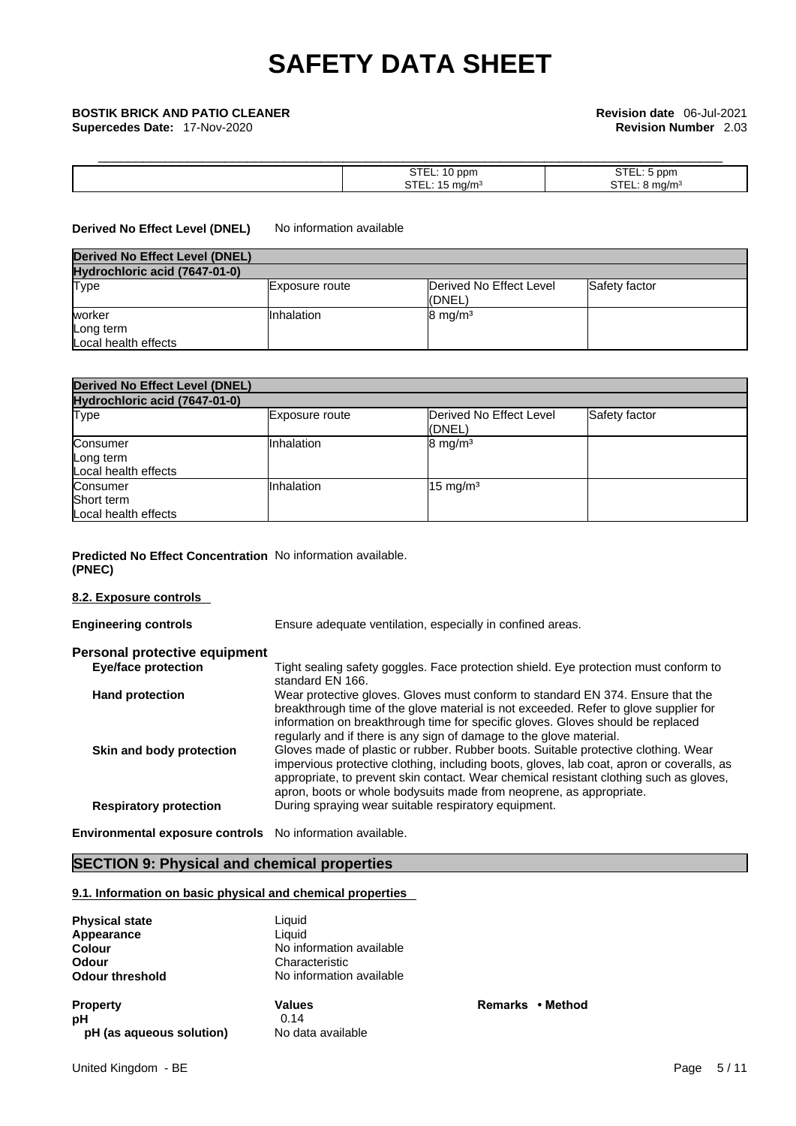**Supercedes Date:** 17-Nov-2020 **Revision Number** 2.03

# \_\_\_\_\_\_\_\_\_\_\_\_\_\_\_\_\_\_\_\_\_\_\_\_\_\_\_\_\_\_\_\_\_\_\_\_\_\_\_\_\_\_\_\_\_\_\_\_\_\_\_\_\_\_\_\_\_\_\_\_\_\_\_\_\_\_\_\_\_\_\_\_\_\_\_\_\_\_\_\_\_\_\_\_ **BOSTIK BRICK AND PATIO CLEANER Revision date** 06-Jul-2021

| וזטכי<br>$\sim$ $\sim$ $\sim$ $\sim$<br>- - - - | ppm  |
|-------------------------------------------------|------|
| $\sim$                                          | na/r |

### **Derived No Effect Level (DNEL)** No information available

| Derived No Effect Level (DNEL)              |                |                                   |               |
|---------------------------------------------|----------------|-----------------------------------|---------------|
| Hydrochloric acid (7647-01-0)               |                |                                   |               |
| Type                                        | Exposure route | Derived No Effect Level<br>(DNEL) | Safety factor |
| worker<br>Long term<br>Local health effects | Inhalation     | $8 \text{ mg/m}^3$                |               |

| <b>Derived No Effect Level (DNEL)</b>          |                |                                   |               |  |
|------------------------------------------------|----------------|-----------------------------------|---------------|--|
| Hydrochloric acid (7647-01-0)                  |                |                                   |               |  |
| <b>Type</b>                                    | Exposure route | Derived No Effect Level<br>(DNEL) | Safety factor |  |
| Consumer<br>Long term<br>Local health effects  | Inhalation     | $8 \text{ mg/m}^3$                |               |  |
| Consumer<br>Short term<br>Local health effects | Inhalation     | $15 \text{ mg/m}^3$               |               |  |

## **Predicted No Effect Concentration** No information available. **(PNEC)**

# **8.2. Exposure controls**

| <b>Engineering controls</b>   | Ensure adequate ventilation, especially in confined areas.                                                                                                                                                                                                                                                                                     |
|-------------------------------|------------------------------------------------------------------------------------------------------------------------------------------------------------------------------------------------------------------------------------------------------------------------------------------------------------------------------------------------|
| Personal protective equipment |                                                                                                                                                                                                                                                                                                                                                |
| <b>Eye/face protection</b>    | Tight sealing safety goggles. Face protection shield. Eye protection must conform to<br>standard EN 166.                                                                                                                                                                                                                                       |
| <b>Hand protection</b>        | Wear protective gloves. Gloves must conform to standard EN 374. Ensure that the<br>breakthrough time of the glove material is not exceeded. Refer to glove supplier for<br>information on breakthrough time for specific gloves. Gloves should be replaced<br>regularly and if there is any sign of damage to the glove material.              |
| Skin and body protection      | Gloves made of plastic or rubber. Rubber boots. Suitable protective clothing. Wear<br>impervious protective clothing, including boots, gloves, lab coat, apron or coveralls, as<br>appropriate, to prevent skin contact. Wear chemical resistant clothing such as gloves,<br>aprop, boots or whole bodysuite made from neoprope as appropriate |

**Respiratory protection** During spraying wear suitable respiratory equipment.

**Environmental exposure controls** No information available.

# **SECTION 9: Physical and chemical properties**

## **9.1. Information on basic physical and chemical properties**

| <b>Physical state</b>    | Liquid                   |
|--------------------------|--------------------------|
| Appearance               | Liquid                   |
| <b>Colour</b>            | No information available |
| Odour                    | Characteristic           |
| <b>Odour threshold</b>   | No information available |
| <b>Property</b>          | <b>Values</b>            |
| рH                       | 0.14                     |
| pH (as aqueous solution) | No data available        |

**Property Values Remarks • Method**

apron, boots or whole bodysuits made from neoprene, as appropriate.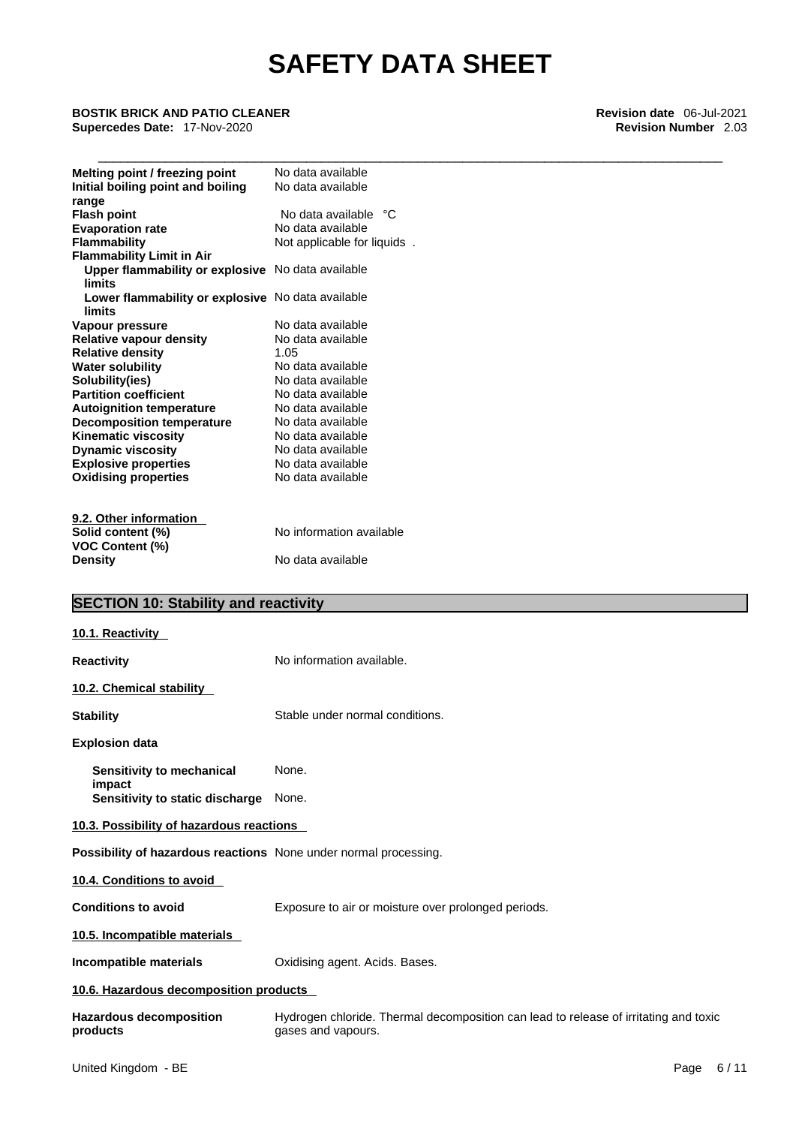\_\_\_\_\_\_\_\_\_\_\_\_\_\_\_\_\_\_\_\_\_\_\_\_\_\_\_\_\_\_\_\_\_\_\_\_\_\_\_\_\_\_\_\_\_\_\_\_\_\_\_\_\_\_\_\_\_\_\_\_\_\_\_\_\_\_\_\_\_\_\_\_\_\_\_\_\_\_\_\_\_\_\_\_ **BOSTIK BRICK AND PATIO CLEANER Revision date** 06-Jul-2021 **Supercedes Date:** 17-Nov-2020 **Revision Number** 2.03

| Melting point / freezing point                    | No data available           |
|---------------------------------------------------|-----------------------------|
| Initial boiling point and boiling                 | No data available           |
| range                                             |                             |
| <b>Flash point</b>                                | No data available °C        |
| <b>Evaporation rate</b>                           | No data available           |
| <b>Flammability</b>                               | Not applicable for liquids. |
| <b>Flammability Limit in Air</b>                  |                             |
| Upper flammability or explosive No data available |                             |
| limits                                            |                             |
| Lower flammability or explosive No data available |                             |
| limits                                            |                             |
| Vapour pressure                                   | No data available           |
| <b>Relative vapour density</b>                    | No data available           |
| <b>Relative density</b>                           | 1.05                        |
| <b>Water solubility</b>                           | No data available           |
| Solubility(ies)                                   | No data available           |
| <b>Partition coefficient</b>                      | No data available           |
| <b>Autoignition temperature</b>                   | No data available           |
| <b>Decomposition temperature</b>                  | No data available           |
| <b>Kinematic viscosity</b>                        | No data available           |
| <b>Dynamic viscosity</b>                          | No data available           |
| <b>Explosive properties</b>                       | No data available           |
| <b>Oxidising properties</b>                       | No data available           |
|                                                   |                             |
| 9.2. Other information                            |                             |
| Solid content (%)                                 | No information available    |
| VOC Content (%)                                   |                             |
| <b>Density</b>                                    | No data available           |

# **SECTION 10: Stability and reactivity**

| 10.1. Reactivity                                                 |                                                                                                            |
|------------------------------------------------------------------|------------------------------------------------------------------------------------------------------------|
| <b>Reactivity</b>                                                | No information available.                                                                                  |
| 10.2. Chemical stability                                         |                                                                                                            |
| <b>Stability</b>                                                 | Stable under normal conditions.                                                                            |
| <b>Explosion data</b>                                            |                                                                                                            |
| Sensitivity to mechanical                                        | None.                                                                                                      |
| impact<br><b>Sensitivity to static discharge</b>                 | None.                                                                                                      |
| 10.3. Possibility of hazardous reactions                         |                                                                                                            |
| Possibility of hazardous reactions None under normal processing. |                                                                                                            |
| 10.4. Conditions to avoid                                        |                                                                                                            |
| <b>Conditions to avoid</b>                                       | Exposure to air or moisture over prolonged periods.                                                        |
| 10.5. Incompatible materials                                     |                                                                                                            |
| <b>Incompatible materials</b>                                    | Oxidising agent. Acids. Bases.                                                                             |
| 10.6. Hazardous decomposition products                           |                                                                                                            |
| <b>Hazardous decomposition</b><br>products                       | Hydrogen chloride. Thermal decomposition can lead to release of irritating and toxic<br>gases and vapours. |
|                                                                  |                                                                                                            |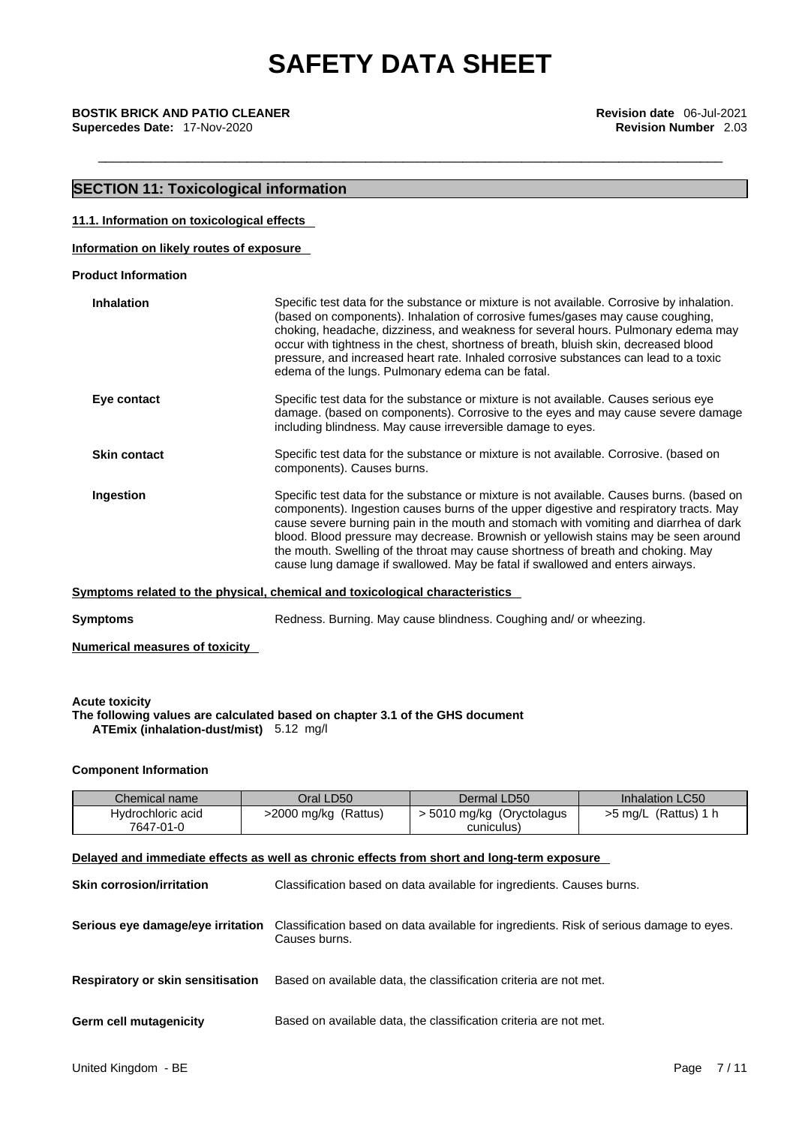# **SECTION 11: Toxicological information**

### **11.1. Information on toxicological effects**

**Information on likely routes of exposure**

**Product Information**

| <b>Inhalation</b>   | Specific test data for the substance or mixture is not available. Corrosive by inhalation.<br>(based on components). Inhalation of corrosive fumes/gases may cause coughing,<br>choking, headache, dizziness, and weakness for several hours. Pulmonary edema may<br>occur with tightness in the chest, shortness of breath, bluish skin, decreased blood                                                                                                                                                                                |
|---------------------|------------------------------------------------------------------------------------------------------------------------------------------------------------------------------------------------------------------------------------------------------------------------------------------------------------------------------------------------------------------------------------------------------------------------------------------------------------------------------------------------------------------------------------------|
|                     | pressure, and increased heart rate. Inhaled corrosive substances can lead to a toxic<br>edema of the lungs. Pulmonary edema can be fatal.                                                                                                                                                                                                                                                                                                                                                                                                |
| Eye contact         | Specific test data for the substance or mixture is not available. Causes serious eye<br>damage. (based on components). Corrosive to the eyes and may cause severe damage<br>including blindness. May cause irreversible damage to eyes.                                                                                                                                                                                                                                                                                                  |
| <b>Skin contact</b> | Specific test data for the substance or mixture is not available. Corrosive. (based on<br>components). Causes burns.                                                                                                                                                                                                                                                                                                                                                                                                                     |
| Ingestion           | Specific test data for the substance or mixture is not available. Causes burns. (based on<br>components). Ingestion causes burns of the upper digestive and respiratory tracts. May<br>cause severe burning pain in the mouth and stomach with vomiting and diarrhea of dark<br>blood. Blood pressure may decrease. Brownish or yellowish stains may be seen around<br>the mouth. Swelling of the throat may cause shortness of breath and choking. May<br>cause lung damage if swallowed. May be fatal if swallowed and enters airways. |
|                     | Symptoms related to the physical, chemical and toxicological characteristics                                                                                                                                                                                                                                                                                                                                                                                                                                                             |

**Symptoms Redness. Burning. May cause blindness. Coughing and/ or wheezing.** 

**Numerical measures of toxicity**

**Acute toxicity The following values are calculated based on chapter 3.1 of the GHS document ATEmix (inhalation-dust/mist)** 5.12 mg/l

# **Component Information**

| Chemical name                                                                              | Oral LD50                                                         | Dermal LD50                                                                                              | Inhalation LC50        |  |  |
|--------------------------------------------------------------------------------------------|-------------------------------------------------------------------|----------------------------------------------------------------------------------------------------------|------------------------|--|--|
| Hydrochloric acid                                                                          | >2000 mg/kg (Rattus)                                              | > 5010 mg/kg (Oryctolagus                                                                                | $>5$ mg/L (Rattus) 1 h |  |  |
| 7647-01-0                                                                                  |                                                                   | cuniculus)                                                                                               |                        |  |  |
| Delayed and immediate effects as well as chronic effects from short and long-term exposure |                                                                   |                                                                                                          |                        |  |  |
| <b>Skin corrosion/irritation</b>                                                           |                                                                   | Classification based on data available for ingredients. Causes burns.                                    |                        |  |  |
|                                                                                            |                                                                   |                                                                                                          |                        |  |  |
|                                                                                            |                                                                   |                                                                                                          |                        |  |  |
| Serious eye damage/eye irritation                                                          |                                                                   | Classification based on data available for ingredients. Risk of serious damage to eyes.<br>Causes burns. |                        |  |  |
|                                                                                            |                                                                   |                                                                                                          |                        |  |  |
|                                                                                            |                                                                   |                                                                                                          |                        |  |  |
| <b>Respiratory or skin sensitisation</b>                                                   |                                                                   | Based on available data, the classification criteria are not met.                                        |                        |  |  |
|                                                                                            |                                                                   |                                                                                                          |                        |  |  |
| <b>Germ cell mutagenicity</b>                                                              | Based on available data, the classification criteria are not met. |                                                                                                          |                        |  |  |
|                                                                                            |                                                                   |                                                                                                          |                        |  |  |
|                                                                                            |                                                                   |                                                                                                          |                        |  |  |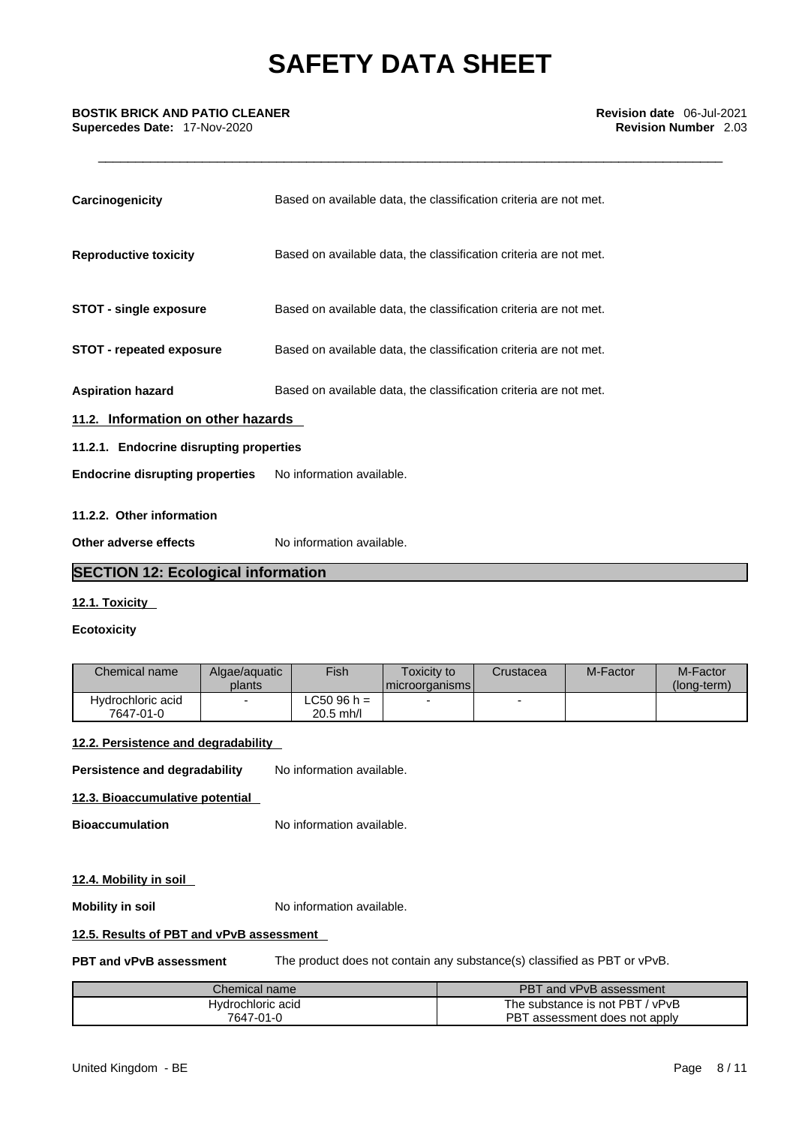| Carcinogenicity                         | Based on available data, the classification criteria are not met. |  |
|-----------------------------------------|-------------------------------------------------------------------|--|
| <b>Reproductive toxicity</b>            | Based on available data, the classification criteria are not met. |  |
| <b>STOT - single exposure</b>           | Based on available data, the classification criteria are not met. |  |
| <b>STOT - repeated exposure</b>         | Based on available data, the classification criteria are not met. |  |
| <b>Aspiration hazard</b>                | Based on available data, the classification criteria are not met. |  |
| 11.2. Information on other hazards      |                                                                   |  |
| 11.2.1. Endocrine disrupting properties |                                                                   |  |
| <b>Endocrine disrupting properties</b>  | No information available.                                         |  |
| 11.2.2. Other information               |                                                                   |  |
| Other adverse effects                   | No information available.                                         |  |

# **SECTION 12: Ecological information**

# **12.1. Toxicity**

# **Ecotoxicity**

| LC50 96 h =<br>Hydrochloric acid | Chemical name | Algae/aguatic<br>plants | <b>Fish</b> | <b>Toxicity to</b><br>I microorganisms l | Crustacea | M-Factor | M-Factor<br>(long-term) |
|----------------------------------|---------------|-------------------------|-------------|------------------------------------------|-----------|----------|-------------------------|
| $20.5$ mh/l<br>7647-01-0         |               |                         |             |                                          |           |          |                         |

# **12.2. Persistence and degradability**

**Persistence and degradability** No information available.

# **12.3. Bioaccumulative potential**

**Bioaccumulation** No information available.

# **12.4. Mobility in soil**

**Mobility in soil** No information available.

# **12.5. Results of PBT and vPvB assessment**

**PBT and vPvB assessment** The product does not contain any substance(s) classified as PBT or vPvB.

| Chemical name     | PB1<br>and vPvB assessment          |
|-------------------|-------------------------------------|
| Hvdrochloric acid | The substance is not PBT,<br>/ vPvB |
| 7647-01-0         | PBT<br>assessment does not apply    |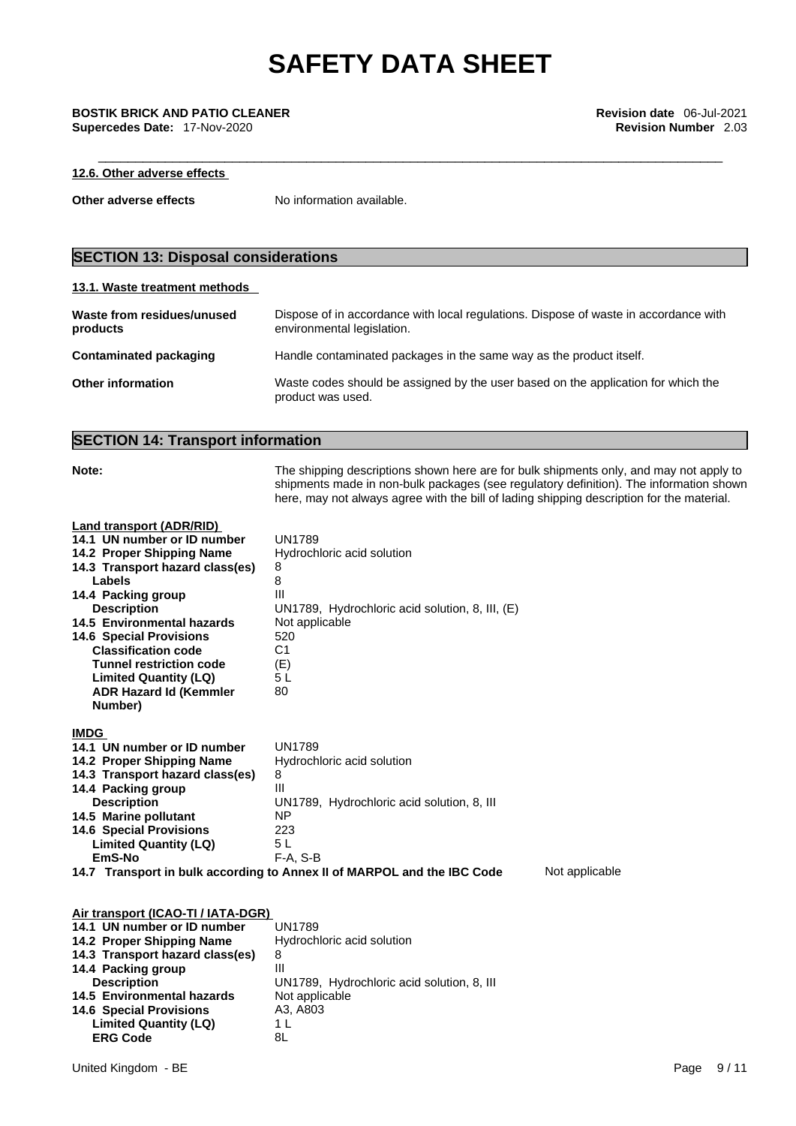# **12.6. Other adverse effects**

**Other adverse effects** No information available.

# **SECTION 13: Disposal considerations**

# **13.1. Waste treatment methods**

| Waste from residues/unused<br>products | Dispose of in accordance with local regulations. Dispose of waste in accordance with<br>environmental legislation. |
|----------------------------------------|--------------------------------------------------------------------------------------------------------------------|
| Contaminated packaging                 | Handle contaminated packages in the same way as the product itself.                                                |
| <b>Other information</b>               | Waste codes should be assigned by the user based on the application for which the<br>product was used.             |

# **SECTION 14: Transport information**

| Note:                                                                                                                                                                                                                                                                                                                                                                                     | The shipping descriptions shown here are for bulk shipments only, and may not apply to<br>shipments made in non-bulk packages (see regulatory definition). The information shown<br>here, may not always agree with the bill of lading shipping description for the material. |
|-------------------------------------------------------------------------------------------------------------------------------------------------------------------------------------------------------------------------------------------------------------------------------------------------------------------------------------------------------------------------------------------|-------------------------------------------------------------------------------------------------------------------------------------------------------------------------------------------------------------------------------------------------------------------------------|
| Land transport (ADR/RID)<br>14.1 UN number or ID number<br>14.2 Proper Shipping Name<br>14.3 Transport hazard class(es)<br>Labels<br>14.4 Packing group<br><b>Description</b><br>14.5 Environmental hazards<br><b>14.6 Special Provisions</b><br><b>Classification code</b><br><b>Tunnel restriction code</b><br><b>Limited Quantity (LQ)</b><br><b>ADR Hazard Id (Kemmler</b><br>Number) | <b>UN1789</b><br>Hydrochloric acid solution<br>8<br>8<br>Ш<br>UN1789, Hydrochloric acid solution, 8, III, (E)<br>Not applicable<br>520<br>C <sub>1</sub><br>(E)<br>5L<br>80                                                                                                   |
| <b>IMDG</b><br>14.1 UN number or ID number<br>14.2 Proper Shipping Name<br>14.3 Transport hazard class(es)<br>14.4 Packing group<br><b>Description</b><br>14.5 Marine pollutant<br><b>14.6 Special Provisions</b><br><b>Limited Quantity (LQ)</b><br>EmS-No                                                                                                                               | <b>UN1789</b><br>Hydrochloric acid solution<br>8<br>III<br>UN1789, Hydrochloric acid solution, 8, III<br><b>NP</b><br>223<br>5L<br>$F-A, S-B$<br>14.7 Transport in bulk according to Annex II of MARPOL and the IBC Code<br>Not applicable                                    |
| Air transport (ICAO-TI / IATA-DGR)<br>14.1 UN number or ID number<br>14.2 Proper Shipping Name<br>14.3 Transport hazard class(es)<br>14.4 Packing group<br><b>Description</b><br>14.5 Environmental hazards<br><b>14.6 Special Provisions</b><br><b>Limited Quantity (LQ)</b><br><b>ERG Code</b>                                                                                          | <b>UN1789</b><br>Hydrochloric acid solution<br>8<br>Ш<br>UN1789, Hydrochloric acid solution, 8, III<br>Not applicable<br>A3, A803<br>1 <sub>L</sub><br>8L                                                                                                                     |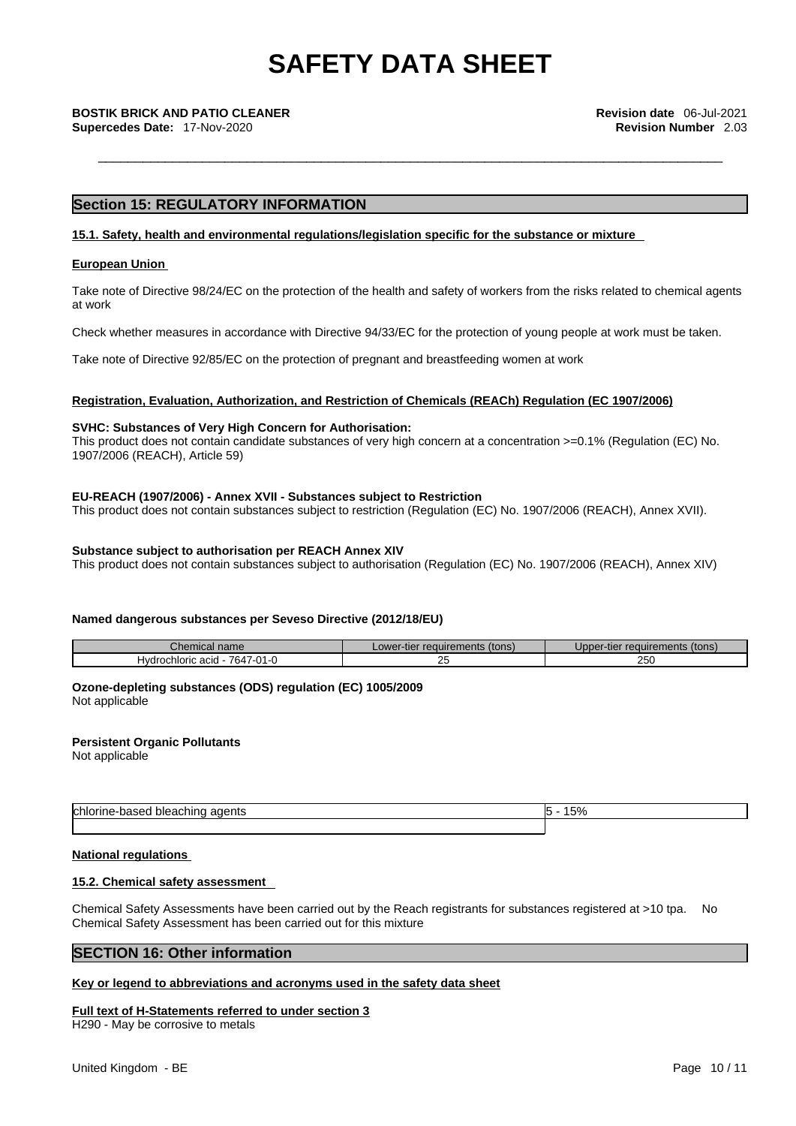# **Section 15: REGULATORY INFORMATION**

## **15.1. Safety, health and environmental regulations/legislation specific for the substance or mixture**

## **European Union**

Take note of Directive 98/24/EC on the protection of the health and safety of workers from the risks related to chemical agents at work

Check whether measures in accordance with Directive 94/33/EC for the protection of young people at work must be taken.

Take note of Directive 92/85/EC on the protection of pregnant and breastfeeding women at work

## **Registration, Evaluation, Authorization, and Restriction of Chemicals (REACh) Regulation (EC 1907/2006)**

# **SVHC: Substances of Very High Concern for Authorisation:**

This product does not contain candidate substances of very high concern at a concentration >=0.1% (Regulation (EC) No. 1907/2006 (REACH), Article 59)

## **EU-REACH (1907/2006) - Annex XVII - Substances subject to Restriction**

This product does not contain substances subject to restriction (Regulation (EC) No. 1907/2006 (REACH), Annex XVII).

### **Substance subject to authorisation per REACH Annex XIV**

This product does not contain substances subject to authorisation (Regulation (EC) No. 1907/2006 (REACH), Annex XIV)

## **Named dangerous substances per Seveso Directive (2012/18/EU)**

| $\mathsf{\sim}$ nemical name          | Lower-tier requirements (tons) | Upper-tier requirements (tons) |
|---------------------------------------|--------------------------------|--------------------------------|
| 7647-01-0<br>Hydrochloric acid<br>. . |                                | 250                            |

#### **Ozone-depleting substances (ODS) regulation (EC) 1005/2009** Not applicable

**Persistent Organic Pollutants**

Not applicable

| h<br>adents<br>pieaching<br>יי י<br>. . | $\overline{\mathbf{u}}$<br>. . |
|-----------------------------------------|--------------------------------|
|                                         |                                |

## **National regulations**

## **15.2. Chemical safety assessment**

Chemical Safety Assessments have been carried out by the Reach registrants for substances registered at >10 tpa. No Chemical Safety Assessment has been carried out for this mixture

## **SECTION 16: Other information**

## **Key or legend to abbreviations and acronyms used in the safety data sheet**

## **Full text of H-Statements referred to under section 3**

H290 - May be corrosive to metals